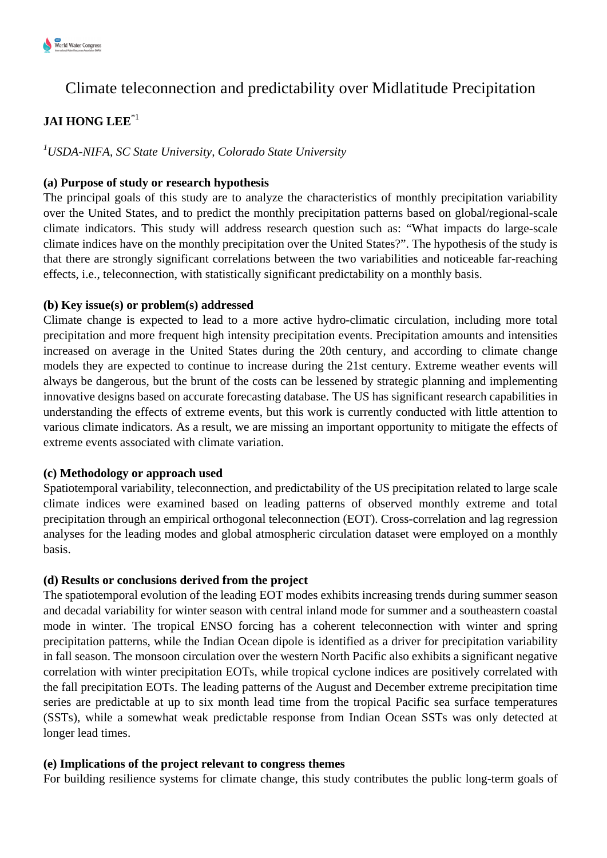

# Climate teleconnection and predictability over Midlatitude Precipitation

# **JAI HONG LEE**\*1

*<sup>1</sup>USDA-NIFA, SC State University, Colorado State University*

# **(a) Purpose of study or research hypothesis**

The principal goals of this study are to analyze the characteristics of monthly precipitation variability over the United States, and to predict the monthly precipitation patterns based on global/regional-scale climate indicators. This study will address research question such as: "What impacts do large-scale climate indices have on the monthly precipitation over the United States?". The hypothesis of the study is that there are strongly significant correlations between the two variabilities and noticeable far-reaching effects, i.e., teleconnection, with statistically significant predictability on a monthly basis.

## **(b) Key issue(s) or problem(s) addressed**

Climate change is expected to lead to a more active hydro-climatic circulation, including more total precipitation and more frequent high intensity precipitation events. Precipitation amounts and intensities increased on average in the United States during the 20th century, and according to climate change models they are expected to continue to increase during the 21st century. Extreme weather events will always be dangerous, but the brunt of the costs can be lessened by strategic planning and implementing innovative designs based on accurate forecasting database. The US has significant research capabilities in understanding the effects of extreme events, but this work is currently conducted with little attention to various climate indicators. As a result, we are missing an important opportunity to mitigate the effects of extreme events associated with climate variation.

### **(c) Methodology or approach used**

Spatiotemporal variability, teleconnection, and predictability of the US precipitation related to large scale climate indices were examined based on leading patterns of observed monthly extreme and total precipitation through an empirical orthogonal teleconnection (EOT). Cross-correlation and lag regression analyses for the leading modes and global atmospheric circulation dataset were employed on a monthly basis.

### **(d) Results or conclusions derived from the project**

The spatiotemporal evolution of the leading EOT modes exhibits increasing trends during summer season and decadal variability for winter season with central inland mode for summer and a southeastern coastal mode in winter. The tropical ENSO forcing has a coherent teleconnection with winter and spring precipitation patterns, while the Indian Ocean dipole is identified as a driver for precipitation variability in fall season. The monsoon circulation over the western North Pacific also exhibits a significant negative correlation with winter precipitation EOTs, while tropical cyclone indices are positively correlated with the fall precipitation EOTs. The leading patterns of the August and December extreme precipitation time series are predictable at up to six month lead time from the tropical Pacific sea surface temperatures (SSTs), while a somewhat weak predictable response from Indian Ocean SSTs was only detected at longer lead times.

### **(e) Implications of the project relevant to congress themes**

For building resilience systems for climate change, this study contributes the public long-term goals of